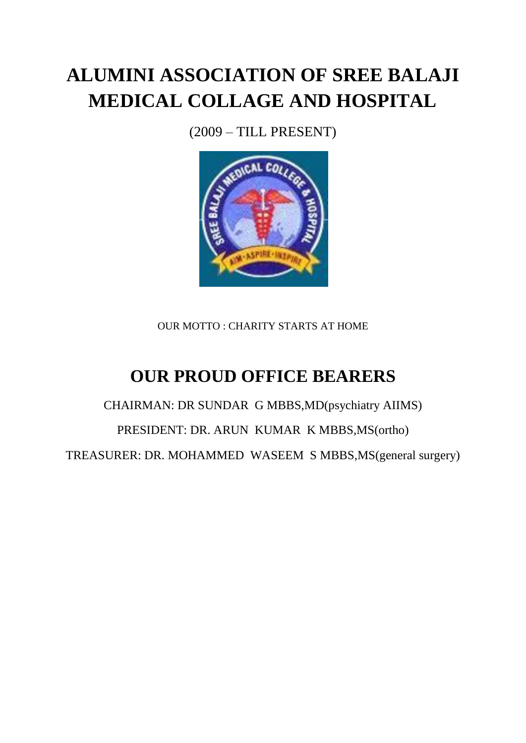# **ALUMINI ASSOCIATION OF SREE BALAJI MEDICAL COLLAGE AND HOSPITAL**

(2009 – TILL PRESENT)



OUR MOTTO : CHARITY STARTS AT HOME

## **OUR PROUD OFFICE BEARERS**

CHAIRMAN: DR SUNDAR G MBBS,MD(psychiatry AIIMS) PRESIDENT: DR. ARUN KUMAR K MBBS,MS(ortho) TREASURER: DR. MOHAMMED WASEEM S MBBS,MS(general surgery)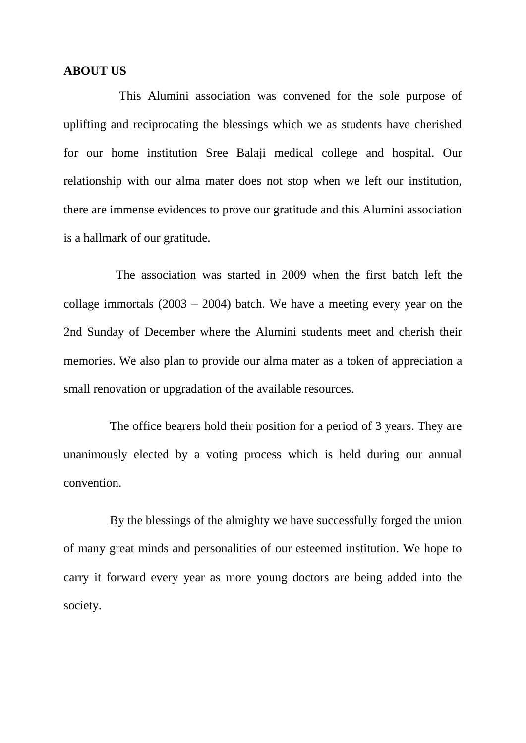#### **ABOUT US**

 This Alumini association was convened for the sole purpose of uplifting and reciprocating the blessings which we as students have cherished for our home institution Sree Balaji medical college and hospital. Our relationship with our alma mater does not stop when we left our institution, there are immense evidences to prove our gratitude and this Alumini association is a hallmark of our gratitude.

 The association was started in 2009 when the first batch left the collage immortals  $(2003 - 2004)$  batch. We have a meeting every year on the 2nd Sunday of December where the Alumini students meet and cherish their memories. We also plan to provide our alma mater as a token of appreciation a small renovation or upgradation of the available resources.

 The office bearers hold their position for a period of 3 years. They are unanimously elected by a voting process which is held during our annual convention.

 By the blessings of the almighty we have successfully forged the union of many great minds and personalities of our esteemed institution. We hope to carry it forward every year as more young doctors are being added into the society.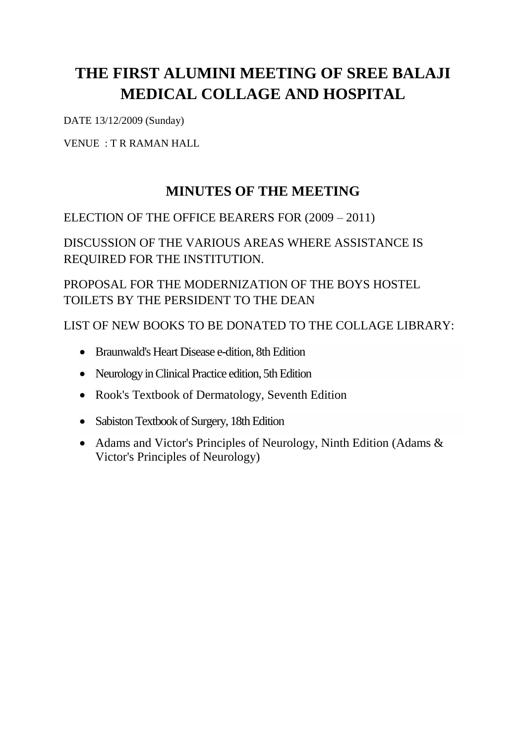### **THE FIRST ALUMINI MEETING OF SREE BALAJI MEDICAL COLLAGE AND HOSPITAL**

DATE 13/12/2009 (Sunday)

VENUE : T R RAMAN HALL

#### **MINUTES OF THE MEETING**

#### ELECTION OF THE OFFICE BEARERS FOR (2009 – 2011)

DISCUSSION OF THE VARIOUS AREAS WHERE ASSISTANCE IS REQUIRED FOR THE INSTITUTION.

PROPOSAL FOR THE MODERNIZATION OF THE BOYS HOSTEL TOILETS BY THE PERSIDENT TO THE DEAN

LIST OF NEW BOOKS TO BE DONATED TO THE COLLAGE LIBRARY:

- Braunwald's Heart Disease e-dition, 8th Edition
- Neurology in Clinical Practice edition, 5th Edition
- Rook's Textbook of Dermatology, Seventh Edition
- Sabiston Textbook of Surgery, 18th Edition
- Adams and Victor's Principles of Neurology, Ninth Edition (Adams & Victor's Principles of Neurology)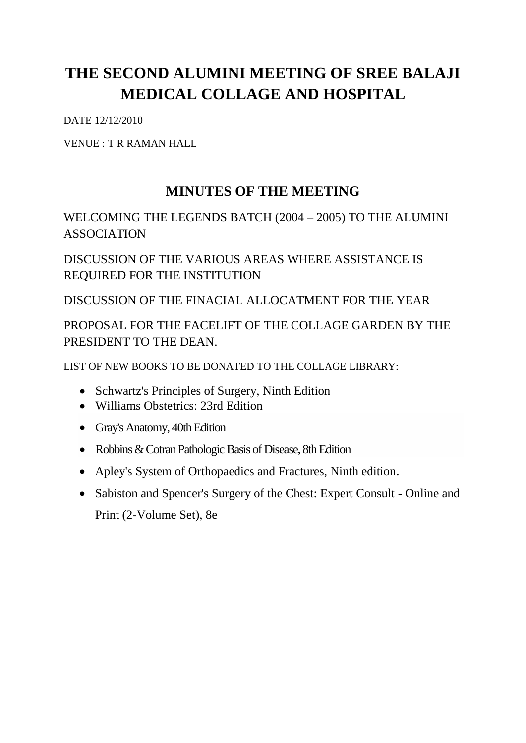### **THE SECOND ALUMINI MEETING OF SREE BALAJI MEDICAL COLLAGE AND HOSPITAL**

DATE 12/12/2010

VENUE : T R RAMAN HALL

### **MINUTES OF THE MEETING**

#### WELCOMING THE LEGENDS BATCH (2004 – 2005) TO THE ALUMINI ASSOCIATION

DISCUSSION OF THE VARIOUS AREAS WHERE ASSISTANCE IS REQUIRED FOR THE INSTITUTION

DISCUSSION OF THE FINACIAL ALLOCATMENT FOR THE YEAR

#### PROPOSAL FOR THE FACELIFT OF THE COLLAGE GARDEN BY THE PRESIDENT TO THE DEAN.

LIST OF NEW BOOKS TO BE DONATED TO THE COLLAGE LIBRARY:

- Schwartz's Principles of Surgery, Ninth Edition
- Williams Obstetrics: 23rd Edition
- Gray's Anatomy, 40th Edition
- Robbins & Cotran Pathologic Basis of Disease, 8th Edition
- Apley's System of Orthopaedics and Fractures, Ninth edition.
- Sabiston and Spencer's Surgery of the Chest: Expert Consult Online and Print (2-Volume Set), 8e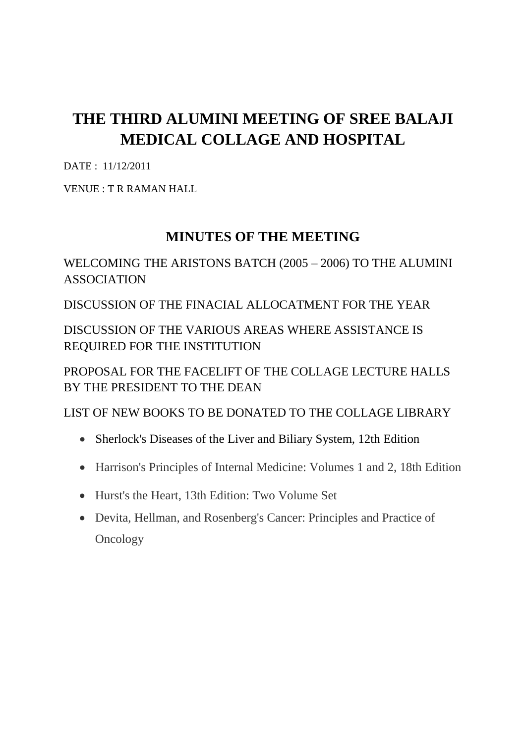### **THE THIRD ALUMINI MEETING OF SREE BALAJI MEDICAL COLLAGE AND HOSPITAL**

DATE : 11/12/2011

VENUE : T R RAMAN HALL

#### **MINUTES OF THE MEETING**

WELCOMING THE ARISTONS BATCH (2005 – 2006) TO THE ALUMINI ASSOCIATION

DISCUSSION OF THE FINACIAL ALLOCATMENT FOR THE YEAR

DISCUSSION OF THE VARIOUS AREAS WHERE ASSISTANCE IS REQUIRED FOR THE INSTITUTION

PROPOSAL FOR THE FACELIFT OF THE COLLAGE LECTURE HALLS BY THE PRESIDENT TO THE DEAN

LIST OF NEW BOOKS TO BE DONATED TO THE COLLAGE LIBRARY

- Sherlock's Diseases of the Liver and Biliary System, 12th Edition
- Harrison's Principles of Internal Medicine: Volumes 1 and 2, 18th Edition
- Hurst's the Heart, 13th Edition: Two Volume Set
- Devita, Hellman, and Rosenberg's Cancer: Principles and Practice of **Oncology**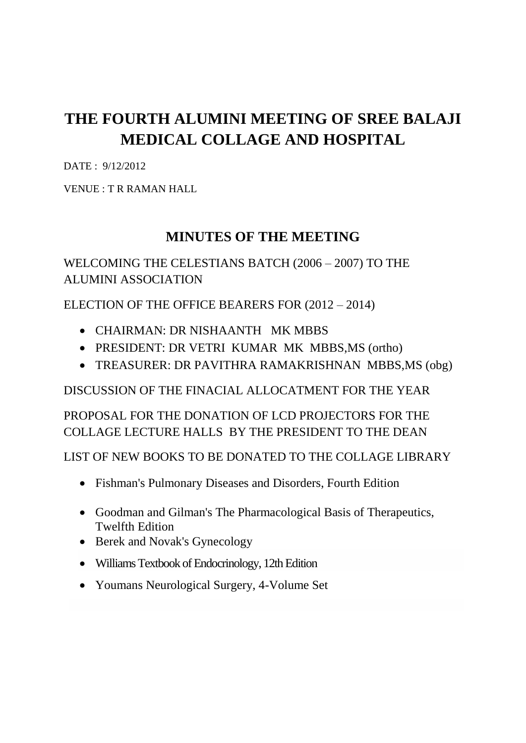### **THE FOURTH ALUMINI MEETING OF SREE BALAJI MEDICAL COLLAGE AND HOSPITAL**

DATE : 9/12/2012

VENUE : T R RAMAN HALL

#### **MINUTES OF THE MEETING**

#### WELCOMING THE CELESTIANS BATCH (2006 – 2007) TO THE ALUMINI ASSOCIATION

ELECTION OF THE OFFICE BEARERS FOR (2012 – 2014)

- CHAIRMAN: DR NISHAANTH MK MBBS
- PRESIDENT: DR VETRI KUMAR MK MBBS,MS (ortho)
- TREASURER: DR PAVITHRA RAMAKRISHNAN MBBS,MS (obg)

DISCUSSION OF THE FINACIAL ALLOCATMENT FOR THE YEAR

PROPOSAL FOR THE DONATION OF LCD PROJECTORS FOR THE COLLAGE LECTURE HALLS BY THE PRESIDENT TO THE DEAN

LIST OF NEW BOOKS TO BE DONATED TO THE COLLAGE LIBRARY

- Fishman's Pulmonary Diseases and Disorders, Fourth Edition
- Goodman and Gilman's The Pharmacological Basis of Therapeutics, Twelfth Edition
- Berek and Novak's Gynecology
- Williams Textbook of Endocrinology, 12th Edition
- Youmans Neurological Surgery, 4-Volume Set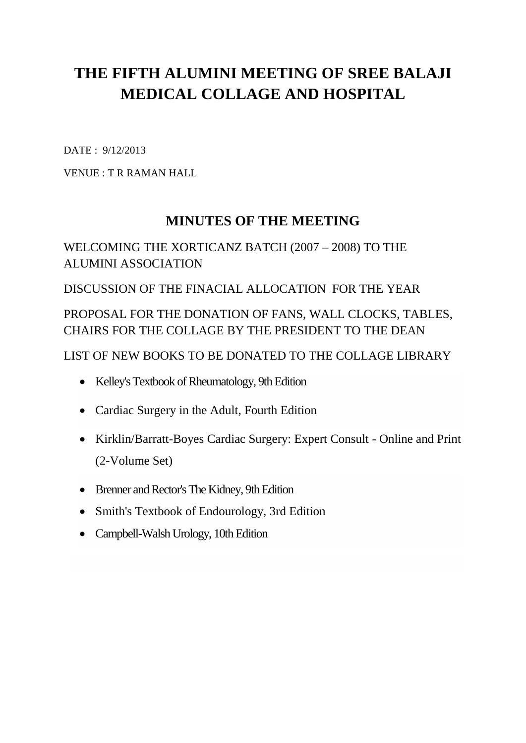### **THE FIFTH ALUMINI MEETING OF SREE BALAJI MEDICAL COLLAGE AND HOSPITAL**

DATE : 9/12/2013

VENUE : T R RAMAN HALL

#### **MINUTES OF THE MEETING**

#### WELCOMING THE XORTICANZ BATCH (2007 – 2008) TO THE ALUMINI ASSOCIATION

DISCUSSION OF THE FINACIAL ALLOCATION FOR THE YEAR

PROPOSAL FOR THE DONATION OF FANS, WALL CLOCKS, TABLES, CHAIRS FOR THE COLLAGE BY THE PRESIDENT TO THE DEAN

LIST OF NEW BOOKS TO BE DONATED TO THE COLLAGE LIBRARY

- Kelley's Textbook of Rheumatology, 9th Edition
- Cardiac Surgery in the Adult, Fourth Edition
- Kirklin/Barratt-Boyes Cardiac Surgery: Expert Consult Online and Print (2-Volume Set)
- Brenner and Rector's The Kidney, 9th Edition
- Smith's Textbook of Endourology, 3rd Edition
- Campbell-Walsh Urology, 10th Edition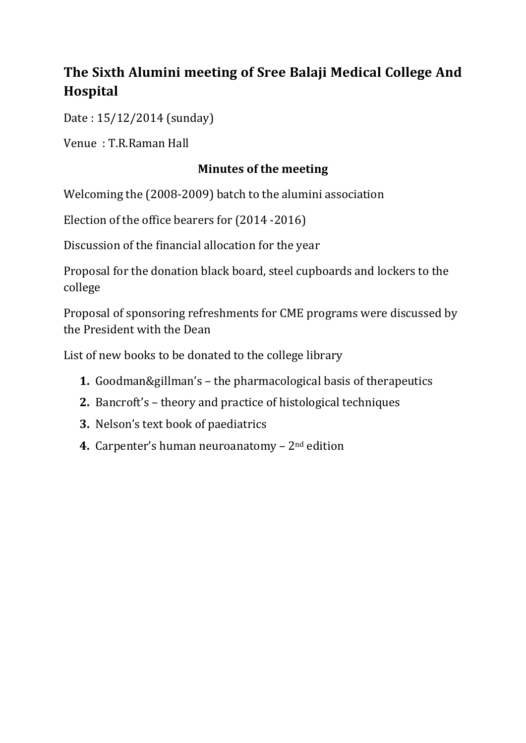### **The Sixth Alumini meeting of Sree Balaji Medical College And Hospital**

Date : 15/12/2014 (sunday)

Venue : T.R.Raman Hall

#### **Minutes of the meeting**

Welcoming the (2008-2009) batch to the alumini association

Election of the office bearers for (2014 -2016)

Discussion of the financial allocation for the year

Proposal for the donation black board, steel cupboards and lockers to the college

Proposal of sponsoring refreshments for CME programs were discussed by the President with the Dean

List of new books to be donated to the college library

- **1.** Goodman&gillman's the pharmacological basis of therapeutics
- **2.** Bancroft's theory and practice of histological techniques
- **3.** Nelson's text book of paediatrics
- **4.** Carpenter's human neuroanatomy 2nd edition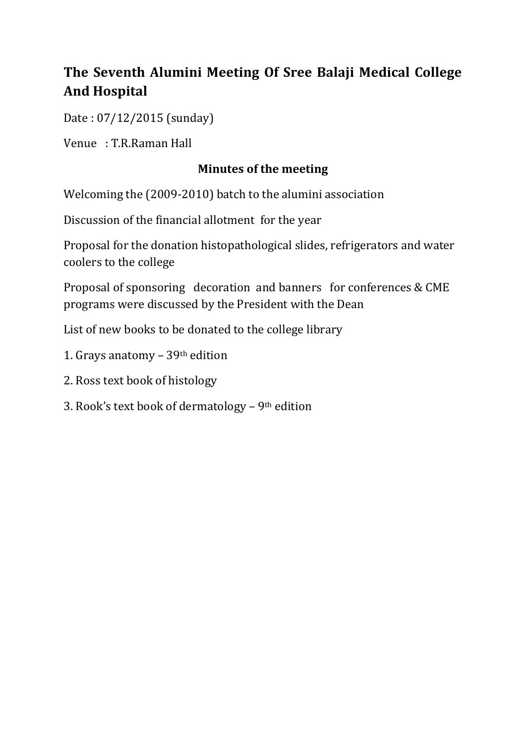### **The Seventh Alumini Meeting Of Sree Balaji Medical College And Hospital**

Date : 07/12/2015 (sunday)

Venue : T.R.Raman Hall

#### **Minutes of the meeting**

Welcoming the (2009-2010) batch to the alumini association

Discussion of the financial allotment for the year

Proposal for the donation histopathological slides, refrigerators and water coolers to the college

Proposal of sponsoring decoration and banners for conferences & CME programs were discussed by the President with the Dean

List of new books to be donated to the college library

- 1. Grays anatomy 39th edition
- 2. Ross text book of histology
- 3. Rook's text book of dermatology 9th edition